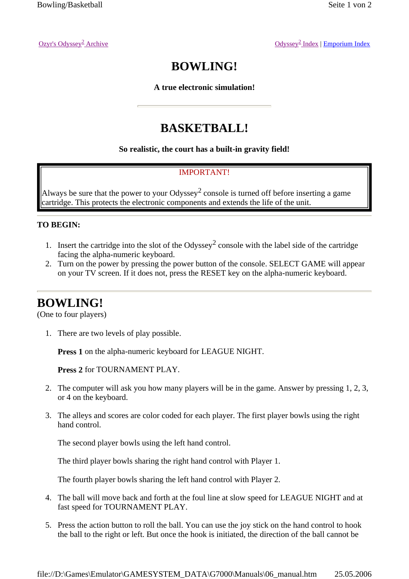Archive Odyssey<sup>2</sup> Index | Emporium Index

# **BOWLING!**

**A true electronic simulation!**

## **BASKETBALL!**

#### **So realistic, the court has a built-in gravity field!**

#### IMPORTANT!

Always be sure that the power to your Odyssey<sup>2</sup> console is turned off before inserting a game cartridge. This protects the electronic components and extends the life of the unit.

#### **TO BEGIN:**

- 1. Insert the cartridge into the slot of the Odyssey<sup>2</sup> console with the label side of the cartridge facing the alpha-numeric keyboard.
- 2. Turn on the power by pressing the power button of the console. SELECT GAME will appear on your TV screen. If it does not, press the RESET key on the alpha-numeric keyboard.

### **BOWLING!**

(One to four players)

1. There are two levels of play possible.

**Press 1** on the alpha-numeric keyboard for LEAGUE NIGHT.

**Press 2** for TOURNAMENT PLAY.

- 2. The computer will ask you how many players will be in the game. Answer by pressing 1, 2, 3, or 4 on the keyboard.
- 3. The alleys and scores are color coded for each player. The first player bowls using the right hand control.

The second player bowls using the left hand control.

The third player bowls sharing the right hand control with Player 1.

The fourth player bowls sharing the left hand control with Player 2.

- 4. The ball will move back and forth at the foul line at slow speed for LEAGUE NIGHT and at fast speed for TOURNAMENT PLAY.
- 5. Press the action button to roll the ball. You can use the joy stick on the hand control to hook the ball to the right or left. But once the hook is initiated, the direction of the ball cannot be